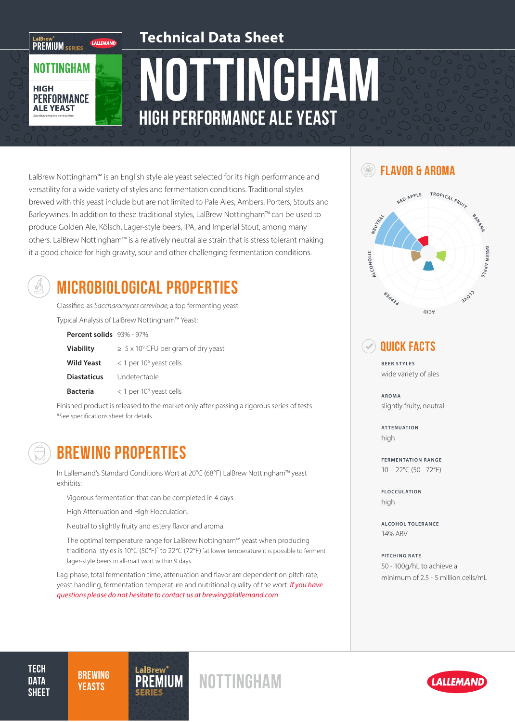### **Technical Data Sheet**

# Nottingham High Performance Ale Yeast

LalBrew Nottingham™ is an English style ale yeast selected for its high performance and  $\qquad \qquad \qquad \qquad \qquad \qquad \qquad \qquad \qquad \qquad \qquad$  FLAVOR & AROMA versatility for a wide variety of styles and fermentation conditions. Traditional styles brewed with this yeast include but are not limited to Pale Ales, Ambers, Porters, Stouts and Barleywines. In addition to these traditional styles, LalBrew Nottingham™ can be used to produce Golden Ale, Kölsch, Lager-style beers, IPA, and Imperial Stout, among many others. LalBrew Nottingham™ is a relatively neutral ale strain that is stress tolerant making it a good choice for high gravity, sour and other challenging fermentation conditions.



LaIBrew"<br>PREMIUM series

**NOTTINGHAM** 

**PERFORMANCE ALE YEAST** 

**HIGH** 

LALLEMAND

## MICROBIOLOGICAL PROPERTIES

Classified as *Saccharomyces cerevisiae*, a top fermenting yeast.

Typical Analysis of LalBrew Nottingham™ Yeast:

**Percent solids** 93% - 97%

| <b>Viability</b>   | $\geq$ 5 x 10 <sup>9</sup> CFU per gram of dry yeast |
|--------------------|------------------------------------------------------|
| <b>Wild Yeast</b>  | $<$ 1 per 10 <sup>6</sup> yeast cells                |
| <b>Diastaticus</b> | Undetectable                                         |
| <b>Bacteria</b>    | $<$ 1 per 10 <sup>6</sup> yeast cells                |

Finished product is released to the market only after passing a rigorous series of tests \*See specifications sheet for details



## BREWING PROPERTIES

In Lallemand's Standard Conditions Wort at 20°C (68°F) LalBrew Nottingham™ yeast exhibits:

Vigorous fermentation that can be completed in 4 days.

High Attenuation and High Flocculation.

Neutral to slightly fruity and estery flavor and aroma.

The optimal temperature range for LalBrew Nottingham™ yeast when producing traditional styles is 10°C (50°F)\* to 22°C (72°F) \* at lower temperature it is possible to ferment lager-style beers in all-malt wort within 9 days.

Lag phase, total fermentation time, attenuation and flavor are dependent on pitch rate, yeast handling, fermentation temperature and nutritional quality of the wort. *If you have questions please do not hesitate to contact us at brewing@lallemand.com*



### Quick Facts

**BEER STYLES** wide variety of ales

**AROMA** slightly fruity, neutral

**ATTENUATION** high

**FERMENTATION RANGE** 10 - 22°C (50 - 72°F)

**FLOCCULATION** high

**ALCOHOL TOLERANCE** 14% ABV

**PITCHING RATE** 50 - 100g/hL to achieve a minimum of 2.5 - 5 million cells/mL

**TECH DATA SHEET** 

**BREWING** 

BREWING PREMIUM NOTTINGHAM